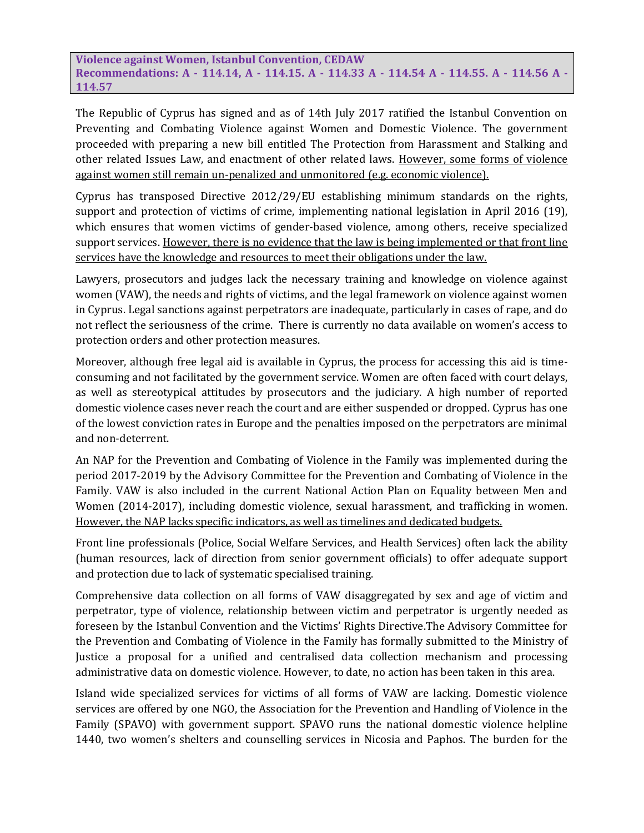**Violence against Women, Istanbul Convention, CEDAW Recommendations: A - 114.14, A - 114.15. A - 114.33 A - 114.54 A - 114.55. A - 114.56 A - 114.57**

The Republic of Cyprus has signed and as of 14th July 2017 ratified the Istanbul Convention on Preventing and Combating Violence against Women and Domestic Violence. The government proceeded with preparing a new bill entitled The Protection from Harassment and Stalking and other related Issues Law, and enactment of other related laws. However, some forms of violence against women still remain un-penalized and unmonitored (e.g. economic violence).

Cyprus has transposed Directive 2012/29/EU establishing minimum standards on the rights, support and protection of victims of crime, implementing national legislation in April 2016 (19), which ensures that women victims of gender-based violence, among others, receive specialized support services. However, there is no evidence that the law is being implemented or that front line services have the knowledge and resources to meet their obligations under the law.

Lawyers, prosecutors and judges lack the necessary training and knowledge on violence against women (VAW), the needs and rights of victims, and the legal framework on violence against women in Cyprus. Legal sanctions against perpetrators are inadequate, particularly in cases of rape, and do not reflect the seriousness of the crime. There is currently no data available on women's access to protection orders and other protection measures.

Moreover, although free legal aid is available in Cyprus, the process for accessing this aid is timeconsuming and not facilitated by the government service. Women are often faced with court delays, as well as stereotypical attitudes by prosecutors and the judiciary. A high number of reported domestic violence cases never reach the court and are either suspended or dropped. Cyprus has one of the lowest conviction rates in Europe and the penalties imposed on the perpetrators are minimal and non-deterrent.

An NAP for the Prevention and Combating of Violence in the Family was implemented during the period 2017-2019 by the Advisory Committee for the Prevention and Combating of Violence in the Family. VAW is also included in the current National Action Plan on Equality between Men and Women (2014-2017), including domestic violence, sexual harassment, and trafficking in women. However, the NAP lacks specific indicators, as well as timelines and dedicated budgets.

Front line professionals (Police, Social Welfare Services, and Health Services) often lack the ability (human resources, lack of direction from senior government officials) to offer adequate support and protection due to lack of systematic specialised training.

Comprehensive data collection on all forms of VAW disaggregated by sex and age of victim and perpetrator, type of violence, relationship between victim and perpetrator is urgently needed as foreseen by the Istanbul Convention and the Victims' Rights Directive.The Advisory Committee for the Prevention and Combating of Violence in the Family has formally submitted to the Ministry of Justice a proposal for a unified and centralised data collection mechanism and processing administrative data on domestic violence. However, to date, no action has been taken in this area.

Island wide specialized services for victims of all forms of VAW are lacking. Domestic violence services are offered by one NGO, the Association for the Prevention and Handling of Violence in the Family (SPAVO) with government support. SPAVO runs the national domestic violence helpline 1440, two women's shelters and counselling services in Nicosia and Paphos. The burden for the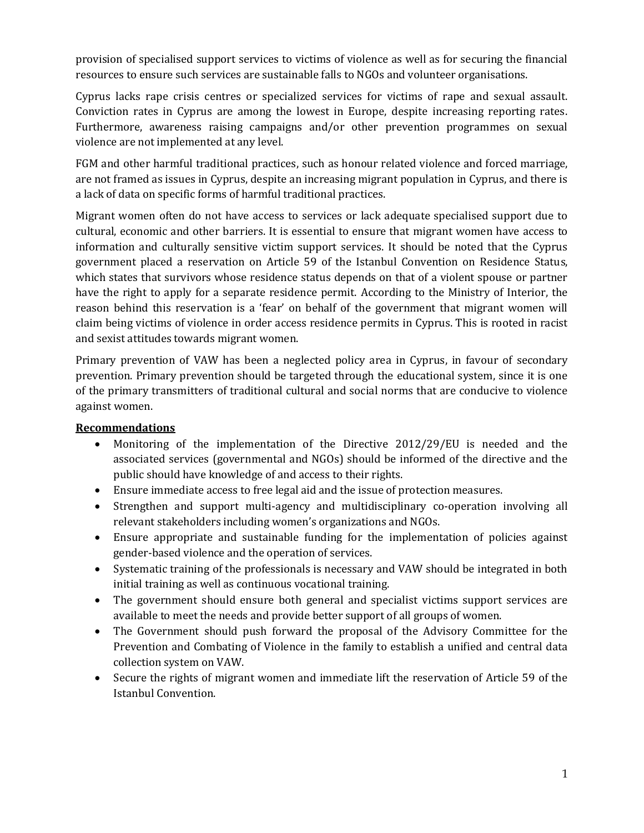provision of specialised support services to victims of violence as well as for securing the financial resources to ensure such services are sustainable falls to NGOs and volunteer organisations.

Cyprus lacks rape crisis centres or specialized services for victims of rape and sexual assault. Conviction rates in Cyprus are among the lowest in Europe, despite increasing reporting rates. Furthermore, awareness raising campaigns and/or other prevention programmes on sexual violence are not implemented at any level.

FGM and other harmful traditional practices, such as honour related violence and forced marriage, are not framed as issues in Cyprus, despite an increasing migrant population in Cyprus, and there is a lack of data on specific forms of harmful traditional practices.

Migrant women often do not have access to services or lack adequate specialised support due to cultural, economic and other barriers. It is essential to ensure that migrant women have access to information and culturally sensitive victim support services. It should be noted that the Cyprus government placed a reservation on Article 59 of the Istanbul Convention on Residence Status, which states that survivors whose residence status depends on that of a violent spouse or partner have the right to apply for a separate residence permit. According to the Ministry of Interior, the reason behind this reservation is a 'fear' on behalf of the government that migrant women will claim being victims of violence in order access residence permits in Cyprus. This is rooted in racist and sexist attitudes towards migrant women.

Primary prevention of VAW has been a neglected policy area in Cyprus, in favour of secondary prevention. Primary prevention should be targeted through the educational system, since it is one of the primary transmitters of traditional cultural and social norms that are conducive to violence against women.

## **Recommendations**

- Monitoring of the implementation of the Directive 2012/29/EU is needed and the associated services (governmental and NGOs) should be informed of the directive and the public should have knowledge of and access to their rights.
- Ensure immediate access to free legal aid and the issue of protection measures.
- Strengthen and support multi-agency and multidisciplinary co-operation involving all relevant stakeholders including women's organizations and NGOs.
- Ensure appropriate and sustainable funding for the implementation of policies against gender-based violence and the operation of services.
- Systematic training of the professionals is necessary and VAW should be integrated in both initial training as well as continuous vocational training.
- The government should ensure both general and specialist victims support services are available to meet the needs and provide better support of all groups of women.
- The Government should push forward the proposal of the Advisory Committee for the Prevention and Combating of Violence in the family to establish a unified and central data collection system on VAW.
- Secure the rights of migrant women and immediate lift the reservation of Article 59 of the Istanbul Convention.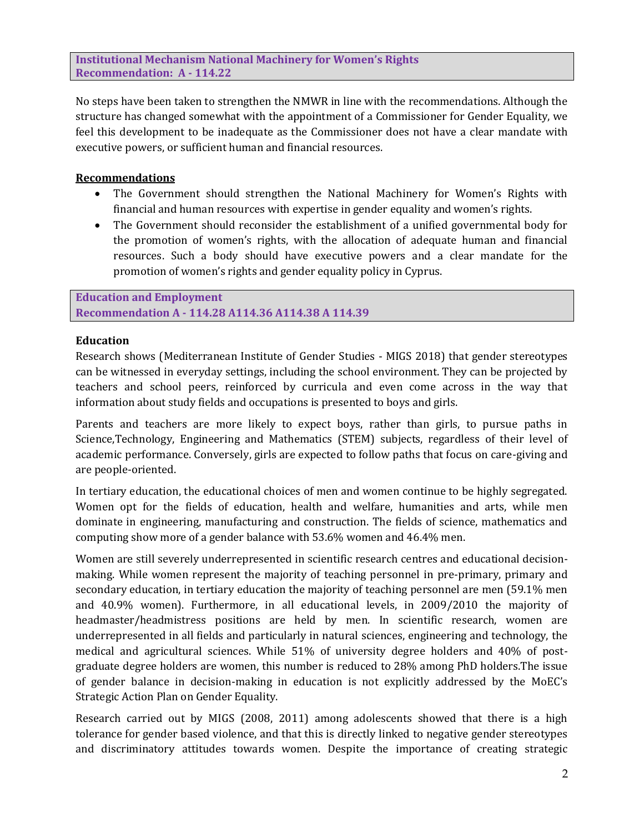**Institutional Mechanism National Machinery for Women's Rights Recommendation: A - 114.22**

No steps have been taken to strengthen the NMWR in line with the recommendations. Although the structure has changed somewhat with the appointment of a Commissioner for Gender Equality, we feel this development to be inadequate as the Commissioner does not have a clear mandate with executive powers, or sufficient human and financial resources.

#### **Recommendations**

- The Government should strengthen the National Machinery for Women's Rights with financial and human resources with expertise in gender equality and women's rights.
- The Government should reconsider the establishment of a unified governmental body for the promotion of women's rights, with the allocation of adequate human and financial resources. Such a body should have executive powers and a clear mandate for the promotion of women's rights and gender equality policy in Cyprus.

**Education and Employment Recommendation A - 114.28 A114.36 A114.38 A 114.39**

#### **Education**

Research shows (Mediterranean Institute of Gender Studies - MIGS 2018) that gender stereotypes can be witnessed in everyday settings, including the school environment. They can be projected by teachers and school peers, reinforced by curricula and even come across in the way that information about study fields and occupations is presented to boys and girls.

Parents and teachers are more likely to expect boys, rather than girls, to pursue paths in Science,Technology, Engineering and Mathematics (STEM) subjects, regardless of their level of academic performance. Conversely, girls are expected to follow paths that focus on care-giving and are people-oriented.

In tertiary education, the educational choices of men and women continue to be highly segregated. Women opt for the fields of education, health and welfare, humanities and arts, while men dominate in engineering, manufacturing and construction. The fields of science, mathematics and computing show more of a gender balance with 53.6% women and 46.4% men.

Women are still severely underrepresented in scientific research centres and educational decisionmaking. While women represent the majority of teaching personnel in pre-primary, primary and secondary education, in tertiary education the majority of teaching personnel are men (59.1% men and 40.9% women). Furthermore, in all educational levels, in 2009/2010 the majority of headmaster/headmistress positions are held by men. In scientific research, women are underrepresented in all fields and particularly in natural sciences, engineering and technology, the medical and agricultural sciences. While 51% of university degree holders and 40% of postgraduate degree holders are women, this number is reduced to 28% among PhD holders.The issue of gender balance in decision-making in education is not explicitly addressed by the MoEC's Strategic Action Plan on Gender Equality.

Research carried out by MIGS (2008, 2011) among adolescents showed that there is a high tolerance for gender based violence, and that this is directly linked to negative gender stereotypes and discriminatory attitudes towards women. Despite the importance of creating strategic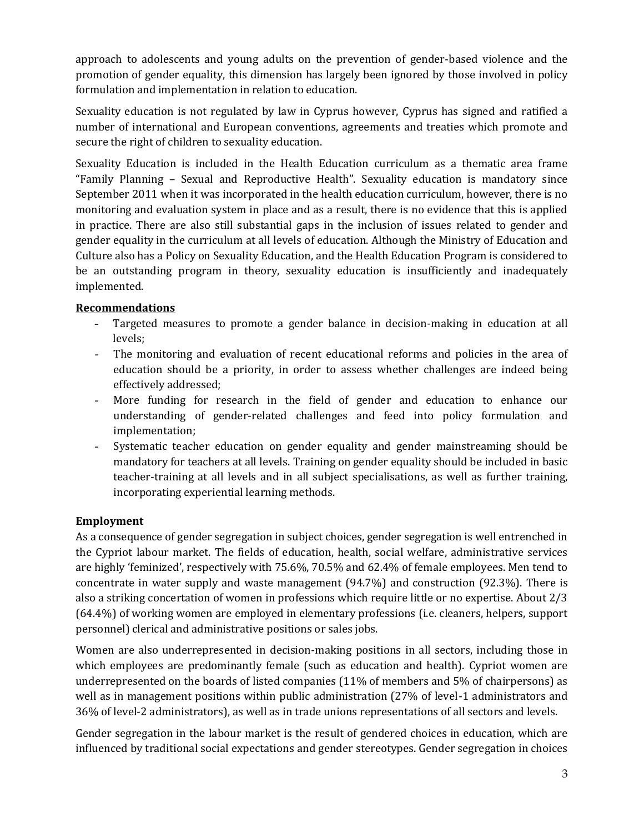approach to adolescents and young adults on the prevention of gender-based violence and the promotion of gender equality, this dimension has largely been ignored by those involved in policy formulation and implementation in relation to education.

Sexuality education is not regulated by law in Cyprus however, Cyprus has signed and ratified a number of international and European conventions, agreements and treaties which promote and secure the right of children to sexuality education.

Sexuality Education is included in the Health Education curriculum as a thematic area frame "Family Planning – Sexual and Reproductive Health". Sexuality education is mandatory since September 2011 when it was incorporated in the health education curriculum, however, there is no monitoring and evaluation system in place and as a result, there is no evidence that this is applied in practice. There are also still substantial gaps in the inclusion of issues related to gender and gender equality in the curriculum at all levels of education. Although the Ministry of Education and Culture also has a Policy on Sexuality Education, and the Health Education Program is considered to be an outstanding program in theory, sexuality education is insufficiently and inadequately implemented.

## **Recommendations**

- Targeted measures to promote a gender balance in decision-making in education at all levels;
- The monitoring and evaluation of recent educational reforms and policies in the area of education should be a priority, in order to assess whether challenges are indeed being effectively addressed;
- More funding for research in the field of gender and education to enhance our understanding of gender-related challenges and feed into policy formulation and implementation;
- Systematic teacher education on gender equality and gender mainstreaming should be mandatory for teachers at all levels. Training on gender equality should be included in basic teacher-training at all levels and in all subject specialisations, as well as further training, incorporating experiential learning methods.

## **Employment**

As a consequence of gender segregation in subject choices, gender segregation is well entrenched in the Cypriot labour market. The fields of education, health, social welfare, administrative services are highly 'feminized', respectively with 75.6%, 70.5% and 62.4% of female employees. Men tend to concentrate in water supply and waste management (94.7%) and construction (92.3%). There is also a striking concertation of women in professions which require little or no expertise. About 2/3 (64.4%) of working women are employed in elementary professions (i.e. cleaners, helpers, support personnel) clerical and administrative positions or sales jobs.

Women are also underrepresented in decision-making positions in all sectors, including those in which employees are predominantly female (such as education and health). Cypriot women are underrepresented on the boards of listed companies (11% of members and 5% of chairpersons) as well as in management positions within public administration (27% of level-1 administrators and 36% of level-2 administrators), as well as in trade unions representations of all sectors and levels.

Gender segregation in the labour market is the result of gendered choices in education, which are influenced by traditional social expectations and gender stereotypes. Gender segregation in choices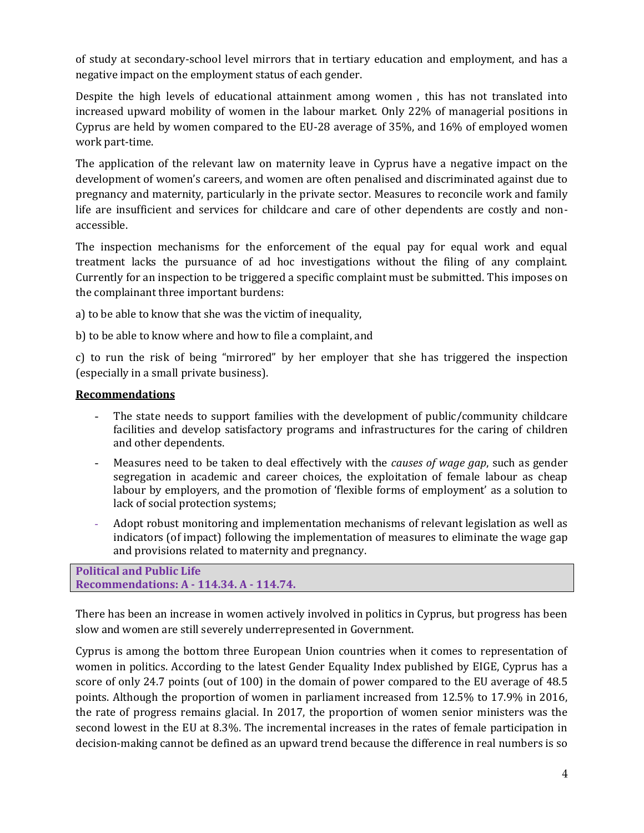of study at secondary-school level mirrors that in tertiary education and employment, and has a negative impact on the employment status of each gender.

Despite the high levels of educational attainment among women , this has not translated into increased upward mobility of women in the labour market. Only 22% of managerial positions in Cyprus are held by women compared to the EU-28 average of 35%, and 16% of employed women work part-time.

The application of the relevant law on maternity leave in Cyprus have a negative impact on the development of women's careers, and women are often penalised and discriminated against due to pregnancy and maternity, particularly in the private sector. Measures to reconcile work and family life are insufficient and services for childcare and care of other dependents are costly and nonaccessible.

The inspection mechanisms for the enforcement of the equal pay for equal work and equal treatment lacks the pursuance of ad hoc investigations without the filing of any complaint. Currently for an inspection to be triggered a specific complaint must be submitted. This imposes on the complainant three important burdens:

a) to be able to know that she was the victim of inequality,

b) to be able to know where and how to file a complaint, and

c) to run the risk of being "mirrored" by her employer that she has triggered the inspection (especially in a small private business).

#### **Recommendations**

- The state needs to support families with the development of public/community childcare facilities and develop satisfactory programs and infrastructures for the caring of children and other dependents.
- Measures need to be taken to deal effectively with the *causes of wage gap*, such as gender segregation in academic and career choices, the exploitation of female labour as cheap labour by employers, and the promotion of 'flexible forms of employment' as a solution to lack of social protection systems;
- Adopt robust monitoring and implementation mechanisms of relevant legislation as well as indicators (of impact) following the implementation of measures to eliminate the wage gap and provisions related to maternity and pregnancy.

**Political and Public Life Recommendations: A - 114.34. A - 114.74.**

There has been an increase in women actively involved in politics in Cyprus, but progress has been slow and women are still severely underrepresented in Government.

Cyprus is among the bottom three European Union countries when it comes to representation of women in politics. According to the latest Gender Equality Index published by EIGE, Cyprus has a score of only 24.7 points (out of 100) in the domain of power compared to the EU average of 48.5 points. Although the proportion of women in parliament increased from 12.5% to 17.9% in 2016, the rate of progress remains glacial. In 2017, the proportion of women senior ministers was the second lowest in the EU at 8.3%. The incremental increases in the rates of female participation in decision-making cannot be defined as an upward trend because the difference in real numbers is so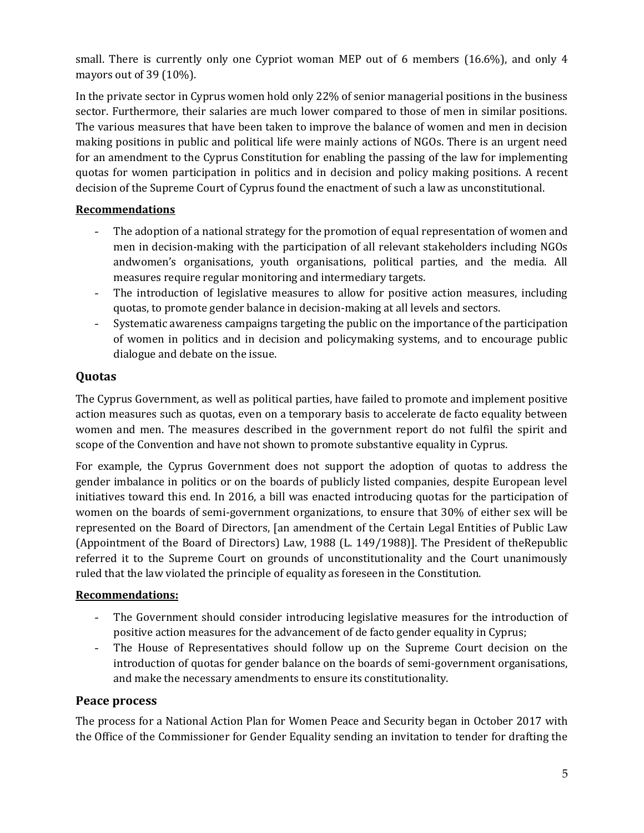small. There is currently only one Cypriot woman MEP out of 6 members (16.6%), and only 4 mayors out of 39 (10%).

In the private sector in Cyprus women hold only 22% of senior managerial positions in the business sector. Furthermore, their salaries are much lower compared to those of men in similar positions. The various measures that have been taken to improve the balance of women and men in decision making positions in public and political life were mainly actions of NGOs. There is an urgent need for an amendment to the Cyprus Constitution for enabling the passing of the law for implementing quotas for women participation in politics and in decision and policy making positions. A recent decision of the Supreme Court of Cyprus found the enactment of such a law as unconstitutional.

#### **Recommendations**

- The adoption of a national strategy for the promotion of equal representation of women and men in decision-making with the participation of all relevant stakeholders including NGOs andwomen's organisations, youth organisations, political parties, and the media. All measures require regular monitoring and intermediary targets.
- The introduction of legislative measures to allow for positive action measures, including quotas, to promote gender balance in decision-making at all levels and sectors.
- Systematic awareness campaigns targeting the public on the importance of the participation of women in politics and in decision and policymaking systems, and to encourage public dialogue and debate on the issue.

# **Quotas**

The Cyprus Government, as well as political parties, have failed to promote and implement positive action measures such as quotas, even on a temporary basis to accelerate de facto equality between women and men. The measures described in the government report do not fulfil the spirit and scope of the Convention and have not shown to promote substantive equality in Cyprus.

For example, the Cyprus Government does not support the adoption of quotas to address the gender imbalance in politics or on the boards of publicly listed companies, despite European level initiatives toward this end. In 2016, a bill was enacted introducing quotas for the participation of women on the boards of semi-government organizations, to ensure that 30% of either sex will be represented on the Board of Directors, [an amendment of the Certain Legal Entities of Public Law (Appointment of the Board of Directors) Law, 1988 (L. 149/1988)]. The President of theRepublic referred it to the Supreme Court on grounds of unconstitutionality and the Court unanimously ruled that the law violated the principle of equality as foreseen in the Constitution.

## **Recommendations:**

- The Government should consider introducing legislative measures for the introduction of positive action measures for the advancement of de facto gender equality in Cyprus;
- The House of Representatives should follow up on the Supreme Court decision on the introduction of quotas for gender balance on the boards of semi-government organisations, and make the necessary amendments to ensure its constitutionality.

## **Peace process**

The process for a National Action Plan for Women Peace and Security began in October 2017 with the Office of the Commissioner for Gender Equality sending an invitation to tender for drafting the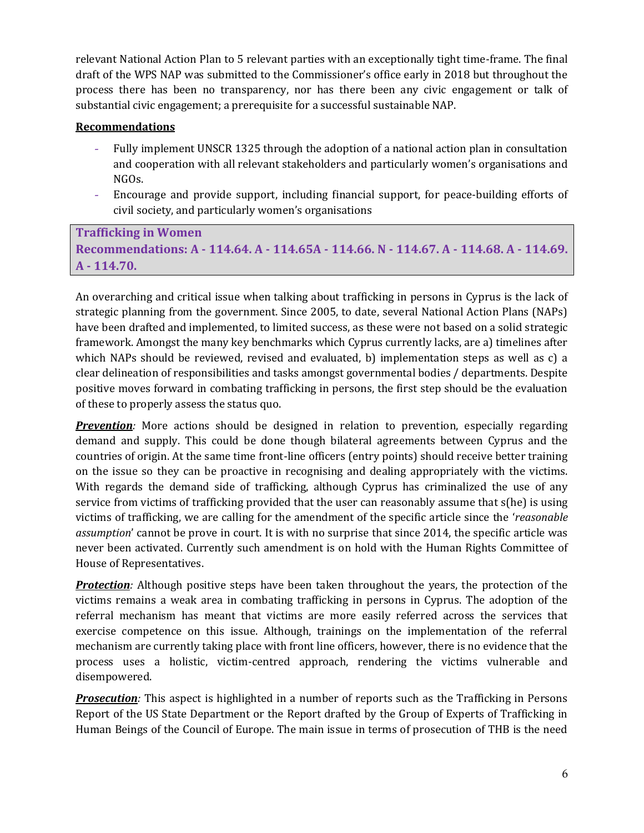relevant National Action Plan to 5 relevant parties with an exceptionally tight time-frame. The final draft of the WPS NAP was submitted to the Commissioner's office early in 2018 but throughout the process there has been no transparency, nor has there been any civic engagement or talk of substantial civic engagement; a prerequisite for a successful sustainable NAP.

#### **Recommendations**

- Fully implement UNSCR 1325 through the adoption of a national action plan in consultation and cooperation with all relevant stakeholders and particularly women's organisations and NGOs.
- Encourage and provide support, including financial support, for peace-building efforts of civil society, and particularly women's organisations

# **Trafficking in Women Recommendations: A - 114.64. A - 114.65A - 114.66. N - 114.67. A - 114.68. A - 114.69. A - 114.70.**

An overarching and critical issue when talking about trafficking in persons in Cyprus is the lack of strategic planning from the government. Since 2005, to date, several National Action Plans (NAPs) have been drafted and implemented, to limited success, as these were not based on a solid strategic framework. Amongst the many key benchmarks which Cyprus currently lacks, are a) timelines after which NAPs should be reviewed, revised and evaluated, b) implementation steps as well as c) a clear delineation of responsibilities and tasks amongst governmental bodies / departments. Despite positive moves forward in combating trafficking in persons, the first step should be the evaluation of these to properly assess the status quo.

**Prevention**: More actions should be designed in relation to prevention, especially regarding demand and supply. This could be done though bilateral agreements between Cyprus and the countries of origin. At the same time front-line officers (entry points) should receive better training on the issue so they can be proactive in recognising and dealing appropriately with the victims. With regards the demand side of trafficking, although Cyprus has criminalized the use of any service from victims of trafficking provided that the user can reasonably assume that s(he) is using victims of trafficking, we are calling for the amendment of the specific article since the '*reasonable assumption*' cannot be prove in court. It is with no surprise that since 2014, the specific article was never been activated. Currently such amendment is on hold with the Human Rights Committee of House of Representatives.

*Protection*: Although positive steps have been taken throughout the years, the protection of the victims remains a weak area in combating trafficking in persons in Cyprus. The adoption of the referral mechanism has meant that victims are more easily referred across the services that exercise competence on this issue. Although, trainings on the implementation of the referral mechanism are currently taking place with front line officers, however, there is no evidence that the process uses a holistic, victim-centred approach, rendering the victims vulnerable and disempowered.

*Prosecution:* This aspect is highlighted in a number of reports such as the Trafficking in Persons Report of the US State Department or the Report drafted by the Group of Experts of Trafficking in Human Beings of the Council of Europe. The main issue in terms of prosecution of THB is the need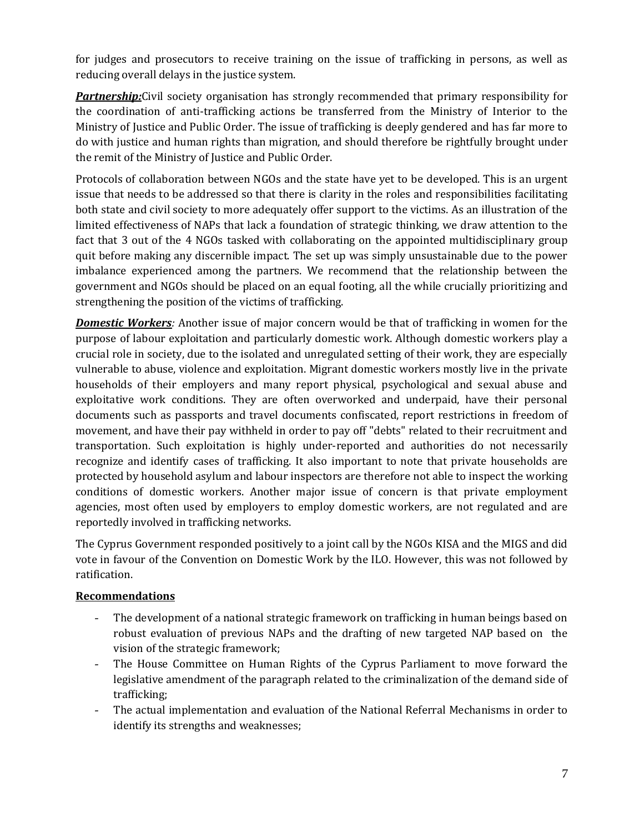for judges and prosecutors to receive training on the issue of trafficking in persons, as well as reducing overall delays in the justice system.

*Partnership:*Civil society organisation has strongly recommended that primary responsibility for the coordination of anti-trafficking actions be transferred from the Ministry of Interior to the Ministry of Justice and Public Order. The issue of trafficking is deeply gendered and has far more to do with justice and human rights than migration, and should therefore be rightfully brought under the remit of the Ministry of Justice and Public Order.

Protocols of collaboration between NGOs and the state have yet to be developed. This is an urgent issue that needs to be addressed so that there is clarity in the roles and responsibilities facilitating both state and civil society to more adequately offer support to the victims. As an illustration of the limited effectiveness of NAPs that lack a foundation of strategic thinking, we draw attention to the fact that 3 out of the 4 NGOs tasked with collaborating on the appointed multidisciplinary group quit before making any discernible impact. The set up was simply unsustainable due to the power imbalance experienced among the partners. We recommend that the relationship between the government and NGOs should be placed on an equal footing, all the while crucially prioritizing and strengthening the position of the victims of trafficking.

**Domestic Workers**: Another issue of major concern would be that of trafficking in women for the purpose of labour exploitation and particularly domestic work. Although domestic workers play a crucial role in society, due to the isolated and unregulated setting of their work, they are especially vulnerable to abuse, violence and exploitation. Migrant domestic workers mostly live in the private households of their employers and many report physical, psychological and sexual abuse and exploitative work conditions. They are often overworked and underpaid, have their personal documents such as passports and travel documents confiscated, report restrictions in freedom of movement, and have their pay withheld in order to pay off "debts" related to their recruitment and transportation. Such exploitation is highly under-reported and authorities do not necessarily recognize and identify cases of trafficking. It also important to note that private households are protected by household asylum and labour inspectors are therefore not able to inspect the working conditions of domestic workers. Another major issue of concern is that private employment agencies, most often used by employers to employ domestic workers, are not regulated and are reportedly involved in trafficking networks.

The Cyprus Government responded positively to a joint call by the NGOs KISA and the MIGS and did vote in favour of the Convention on Domestic Work by the ILO. However, this was not followed by ratification.

#### **Recommendations**

- The development of a national strategic framework on trafficking in human beings based on robust evaluation of previous NAPs and the drafting of new targeted NAP based on the vision of the strategic framework;
- The House Committee on Human Rights of the Cyprus Parliament to move forward the legislative amendment of the paragraph related to the criminalization of the demand side of trafficking;
- The actual implementation and evaluation of the National Referral Mechanisms in order to identify its strengths and weaknesses;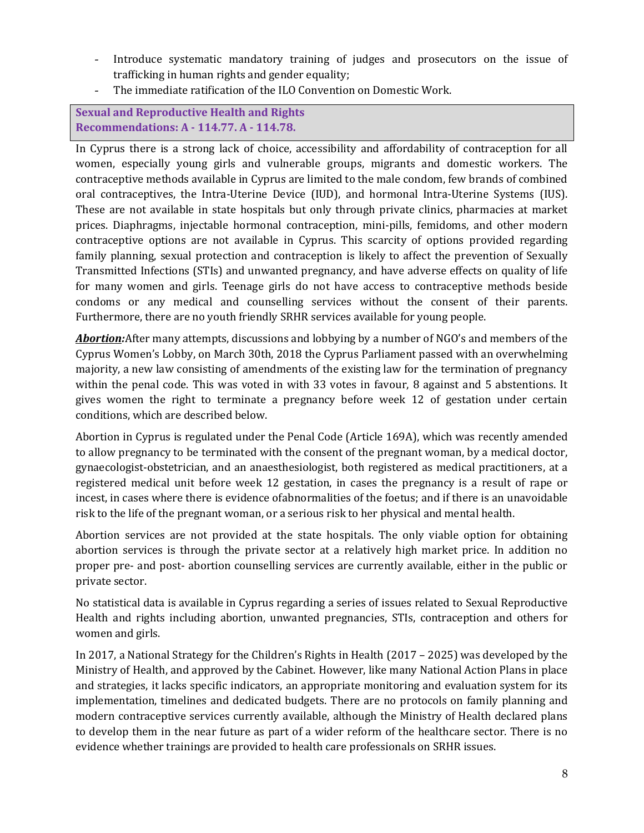- Introduce systematic mandatory training of judges and prosecutors on the issue of trafficking in human rights and gender equality;
- The immediate ratification of the ILO Convention on Domestic Work.

# **Sexual and Reproductive Health and Rights Recommendations: A - 114.77. A - 114.78.**

In Cyprus there is a strong lack of choice, accessibility and affordability of contraception for all women, especially young girls and vulnerable groups, migrants and domestic workers. The contraceptive methods available in Cyprus are limited to the male condom, few brands of combined oral contraceptives, the Intra-Uterine Device (IUD), and hormonal Intra-Uterine Systems (IUS). These are not available in state hospitals but only through private clinics, pharmacies at market prices. Diaphragms, injectable hormonal contraception, mini-pills, femidoms, and other modern contraceptive options are not available in Cyprus. This scarcity of options provided regarding family planning, sexual protection and contraception is likely to affect the prevention of Sexually Transmitted Infections (STIs) and unwanted pregnancy, and have adverse effects on quality of life for many women and girls. Teenage girls do not have access to contraceptive methods beside condoms or any medical and counselling services without the consent of their parents. Furthermore, there are no youth friendly SRHR services available for young people.

*Abortion:*After many attempts, discussions and lobbying by a number of NGO's and members of the Cyprus Women's Lobby, on March 30th, 2018 the Cyprus Parliament passed with an overwhelming majority, a new law consisting of amendments of the existing law for the termination of pregnancy within the penal code. This was voted in with 33 votes in favour, 8 against and 5 abstentions. It gives women the right to terminate a pregnancy before week 12 of gestation under certain conditions, which are described below.

Abortion in Cyprus is regulated under the Penal Code (Article 169A), which was recently amended to allow pregnancy to be terminated with the consent of the pregnant woman, by a medical doctor, gynaecologist-obstetrician, and an anaesthesiologist, both registered as medical practitioners, at a registered medical unit before week 12 gestation, in cases the pregnancy is a result of rape or incest, in cases where there is evidence ofabnormalities of the foetus; and if there is an unavoidable risk to the life of the pregnant woman, or a serious risk to her physical and mental health.

Abortion services are not provided at the state hospitals. The only viable option for obtaining abortion services is through the private sector at a relatively high market price. In addition no proper pre- and post- abortion counselling services are currently available, either in the public or private sector.

No statistical data is available in Cyprus regarding a series of issues related to Sexual Reproductive Health and rights including abortion, unwanted pregnancies, STIs, contraception and others for women and girls.

In 2017, a National Strategy for the Children's Rights in Health (2017 – 2025) was developed by the Ministry of Health, and approved by the Cabinet. However, like many National Action Plans in place and strategies, it lacks specific indicators, an appropriate monitoring and evaluation system for its implementation, timelines and dedicated budgets. There are no protocols on family planning and modern contraceptive services currently available, although the Ministry of Health declared plans to develop them in the near future as part of a wider reform of the healthcare sector. There is no evidence whether trainings are provided to health care professionals on SRHR issues.